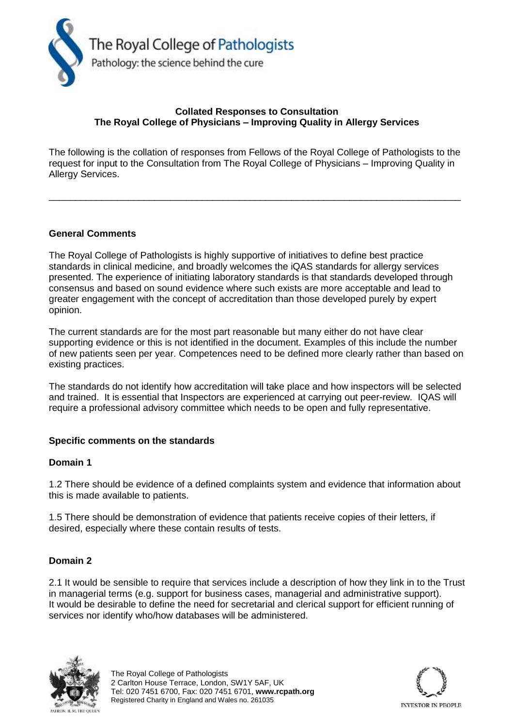

# **Collated Responses to Consultation The Royal College of Physicians – Improving Quality in Allergy Services**

The following is the collation of responses from Fellows of the Royal College of Pathologists to the request for input to the Consultation from The Royal College of Physicians – Improving Quality in Allergy Services.

\_\_\_\_\_\_\_\_\_\_\_\_\_\_\_\_\_\_\_\_\_\_\_\_\_\_\_\_\_\_\_\_\_\_\_\_\_\_\_\_\_\_\_\_\_\_\_\_\_\_\_\_\_\_\_\_\_\_\_\_\_\_\_\_\_\_\_\_\_\_\_\_\_\_\_\_\_\_

# **General Comments**

The Royal College of Pathologists is highly supportive of initiatives to define best practice standards in clinical medicine, and broadly welcomes the iQAS standards for allergy services presented. The experience of initiating laboratory standards is that standards developed through consensus and based on sound evidence where such exists are more acceptable and lead to greater engagement with the concept of accreditation than those developed purely by expert opinion.

The current standards are for the most part reasonable but many either do not have clear supporting evidence or this is not identified in the document. Examples of this include the number of new patients seen per year. Competences need to be defined more clearly rather than based on existing practices.

The standards do not identify how accreditation will take place and how inspectors will be selected and trained. It is essential that Inspectors are experienced at carrying out peer-review. IQAS will require a professional advisory committee which needs to be open and fully representative.

### **Specific comments on the standards**

### **Domain 1**

1.2 There should be evidence of a defined complaints system and evidence that information about this is made available to patients.

1.5 There should be demonstration of evidence that patients receive copies of their letters, if desired, especially where these contain results of tests.

### **Domain 2**

2.1 It would be sensible to require that services include a description of how they link in to the Trust in managerial terms (e.g. support for business cases, managerial and administrative support). It would be desirable to define the need for secretarial and clerical support for efficient running of services nor identify who/how databases will be administered.